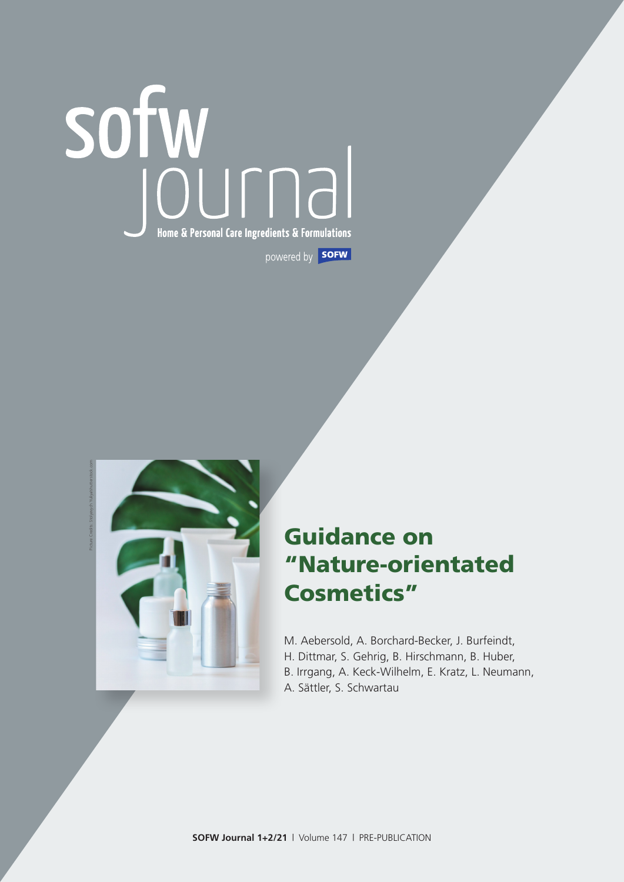# Home & Personal Care Ingredients & Formulations powered by **SOFW**



# Guidance on "Nature-orientated Cosmetics"

M. Aebersold, A. Borchard-Becker, J. Burfeindt, H. Dittmar, S. Gehrig, B. Hirschmann, B. Huber, B. Irrgang, A. Keck-Wilhelm, E. Kratz, L. Neumann, A. Sättler, S. Schwartau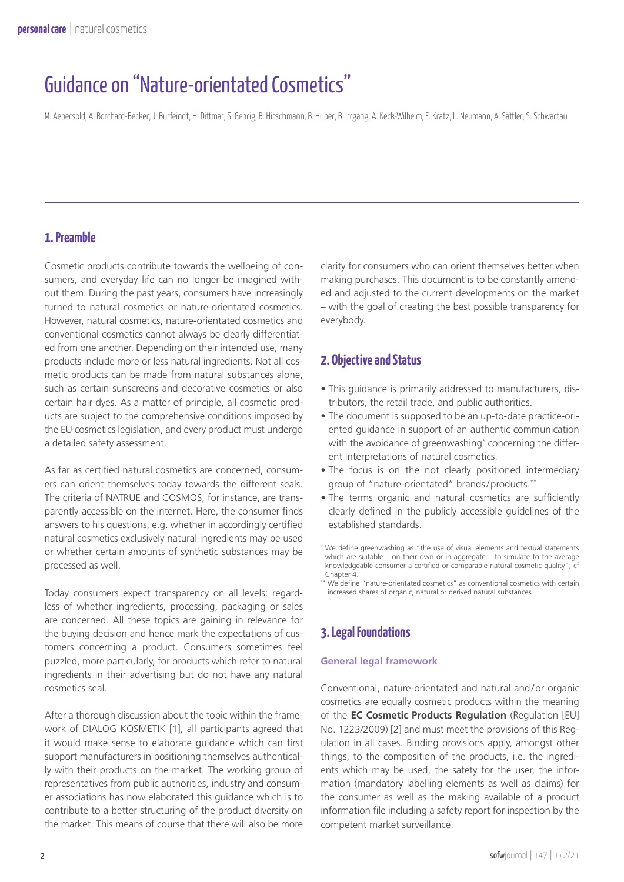# Guidance on "Nature-orientated Cosmetics"

M. Aebersold, A. Borchard-Becker, J. Burfeindt, H. Dittmar, S. Gehrig, B. Hirschmann, B. Huber, B. Irrgang, A. Keck-Wilhelm, E. Kratz, L. Neumann, A. Sättler, S. Schwartau

## **1. Preamble**

Cosmetic products contribute towards the wellbeing of consumers, and everyday life can no longer be imagined without them. During the past years, consumers have increasingly turned to natural cosmetics or nature-orientated cosmetics. However, natural cosmetics, nature-orientated cosmetics and conventional cosmetics cannot always be clearly differentiated from one another. Depending on their intended use, many products include more or less natural ingredients. Not all cosmetic products can be made from natural substances alone, such as certain sunscreens and decorative cosmetics or also certain hair dyes. As a matter of principle, all cosmetic products are subject to the comprehensive conditions imposed by the EU cosmetics legislation, and every product must undergo a detailed safety assessment.

As far as certified natural cosmetics are concerned, consumers can orient themselves today towards the different seals. The criteria of NATRUE and COSMOS, for instance, are transparently accessible on the internet. Here, the consumer finds answers to his questions, e.g. whether in accordingly certified natural cosmetics exclusively natural ingredients may be used or whether certain amounts of synthetic substances may be processed as well.

Today consumers expect transparency on all levels: regardless of whether ingredients, processing, packaging or sales are concerned. All these topics are gaining in relevance for the buying decision and hence mark the expectations of customers concerning a product. Consumers sometimes feel puzzled, more particularly, for products which refer to natural ingredients in their advertising but do not have any natural cosmetics seal.

After a thorough discussion about the topic within the framework of DIALOG KOSMETIK [1], all participants agreed that it would make sense to elaborate guidance which can first support manufacturers in positioning themselves authentically with their products on the market. The working group of representatives from public authorities, industry and consumer associations has now elaborated this guidance which is to contribute to a better structuring of the product diversity on the market. This means of course that there will also be more

clarity for consumers who can orient themselves better when making purchases. This document is to be constantly amended and adjusted to the current developments on the market – with the goal of creating the best possible transparency for everybody.

## **2. Objective and Status**

- This guidance is primarily addressed to manufacturers, distributors, the retail trade, and public authorities.
- The document is supposed to be an up-to-date practice-oriented guidance in support of an authentic communication with the avoidance of greenwashing\* concerning the different interpretations of natural cosmetics.
- The focus is on the not clearly positioned intermediary group of "nature-orientated" brands/products.\*\*
- The terms organic and natural cosmetics are sufficiently clearly defined in the publicly accessible guidelines of the established standards.

## **3. Legal Foundations**

#### **General legal framework**

Conventional, nature-orientated and natural and/or organic cosmetics are equally cosmetic products within the meaning of the **EC Cosmetic Products Regulation** (Regulation [EU] No. 1223/2009) [2] and must meet the provisions of this Regulation in all cases. Binding provisions apply, amongst other things, to the composition of the products, i.e. the ingredients which may be used, the safety for the user, the information (mandatory labelling elements as well as claims) for the consumer as well as the making available of a product information file including a safety report for inspection by the competent market surveillance.

<sup>\*</sup> We define greenwashing as "the use of visual elements and textual statements which are suitable – on their own or in aggregate – to simulate to the average knowledgeable consumer a certified or comparable natural cosmetic quality"; cf Chapter 4.

<sup>\*\*</sup> We define "nature-orientated cosmetics" as conventional cosmetics with certain increased shares of organic, natural or derived natural substances.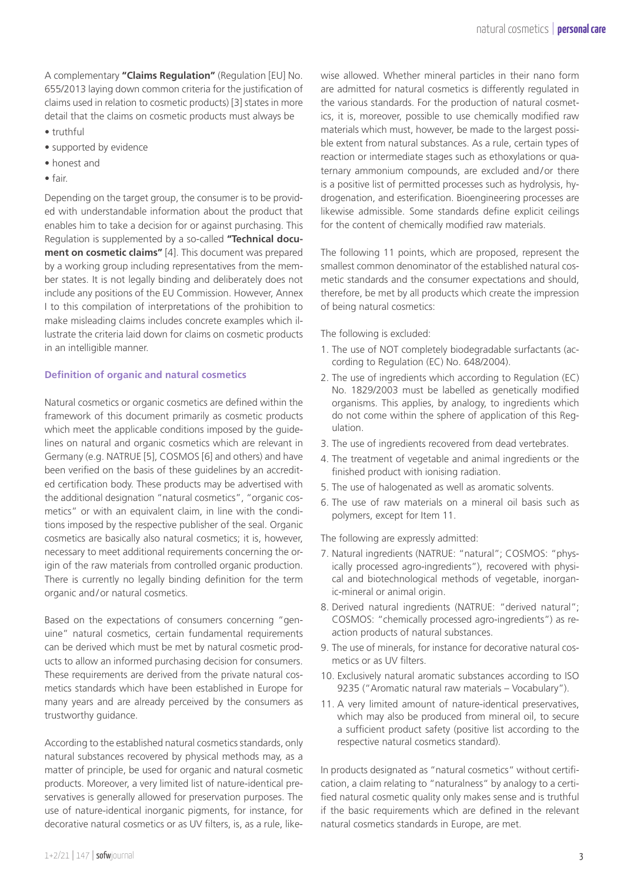A complementary **"Claims Regulation"** (Regulation [EU] No. 655/2013 laying down common criteria for the justification of claims used in relation to cosmetic products) [3] states in more detail that the claims on cosmetic products must always be

- truthful
- supported by evidence
- honest and
- fair.

Depending on the target group, the consumer is to be provided with understandable information about the product that enables him to take a decision for or against purchasing. This Regulation is supplemented by a so-called **"Technical document on cosmetic claims"** [4]. This document was prepared by a working group including representatives from the member states. It is not legally binding and deliberately does not include any positions of the EU Commission. However, Annex I to this compilation of interpretations of the prohibition to make misleading claims includes concrete examples which illustrate the criteria laid down for claims on cosmetic products in an intelligible manner.

#### **Definition of organic and natural cosmetics**

Natural cosmetics or organic cosmetics are defined within the framework of this document primarily as cosmetic products which meet the applicable conditions imposed by the guidelines on natural and organic cosmetics which are relevant in Germany (e.g. NATRUE [5], COSMOS [6] and others) and have been verified on the basis of these guidelines by an accredited certification body. These products may be advertised with the additional designation "natural cosmetics", "organic cosmetics" or with an equivalent claim, in line with the conditions imposed by the respective publisher of the seal. Organic cosmetics are basically also natural cosmetics; it is, however, necessary to meet additional requirements concerning the origin of the raw materials from controlled organic production. There is currently no legally binding definition for the term organic and/or natural cosmetics.

Based on the expectations of consumers concerning "genuine" natural cosmetics, certain fundamental requirements can be derived which must be met by natural cosmetic products to allow an informed purchasing decision for consumers. These requirements are derived from the private natural cosmetics standards which have been established in Europe for many years and are already perceived by the consumers as trustworthy guidance.

According to the established natural cosmetics standards, only natural substances recovered by physical methods may, as a matter of principle, be used for organic and natural cosmetic products. Moreover, a very limited list of nature-identical preservatives is generally allowed for preservation purposes. The use of nature-identical inorganic pigments, for instance, for decorative natural cosmetics or as UV filters, is, as a rule, likewise allowed. Whether mineral particles in their nano form are admitted for natural cosmetics is differently regulated in the various standards. For the production of natural cosmetics, it is, moreover, possible to use chemically modified raw materials which must, however, be made to the largest possible extent from natural substances. As a rule, certain types of reaction or intermediate stages such as ethoxylations or quaternary ammonium compounds, are excluded and/or there is a positive list of permitted processes such as hydrolysis, hydrogenation, and esterification. Bioengineering processes are likewise admissible. Some standards define explicit ceilings for the content of chemically modified raw materials.

The following 11 points, which are proposed, represent the smallest common denominator of the established natural cosmetic standards and the consumer expectations and should, therefore, be met by all products which create the impression of being natural cosmetics:

The following is excluded:

- 1. The use of NOT completely biodegradable surfactants (according to Regulation (EC) No. 648/2004).
- 2. The use of ingredients which according to Regulation (EC) No. 1829/2003 must be labelled as genetically modified organisms. This applies, by analogy, to ingredients which do not come within the sphere of application of this Regulation.
- 3. The use of ingredients recovered from dead vertebrates.
- 4. The treatment of vegetable and animal ingredients or the finished product with ionising radiation.
- 5. The use of halogenated as well as aromatic solvents.
- 6. The use of raw materials on a mineral oil basis such as polymers, except for Item 11.

The following are expressly admitted:

- 7. Natural ingredients (NATRUE: "natural"; COSMOS: "physically processed agro-ingredients"), recovered with physical and biotechnological methods of vegetable, inorganic-mineral or animal origin.
- 8. Derived natural ingredients (NATRUE: "derived natural"; COSMOS: "chemically processed agro-ingredients") as reaction products of natural substances.
- 9. The use of minerals, for instance for decorative natural cosmetics or as UV filters.
- 10. Exclusively natural aromatic substances according to ISO 9235 ("Aromatic natural raw materials – Vocabulary").
- 11. A very limited amount of nature-identical preservatives, which may also be produced from mineral oil, to secure a sufficient product safety (positive list according to the respective natural cosmetics standard).

In products designated as "natural cosmetics" without certification, a claim relating to "naturalness" by analogy to a certified natural cosmetic quality only makes sense and is truthful if the basic requirements which are defined in the relevant natural cosmetics standards in Europe, are met.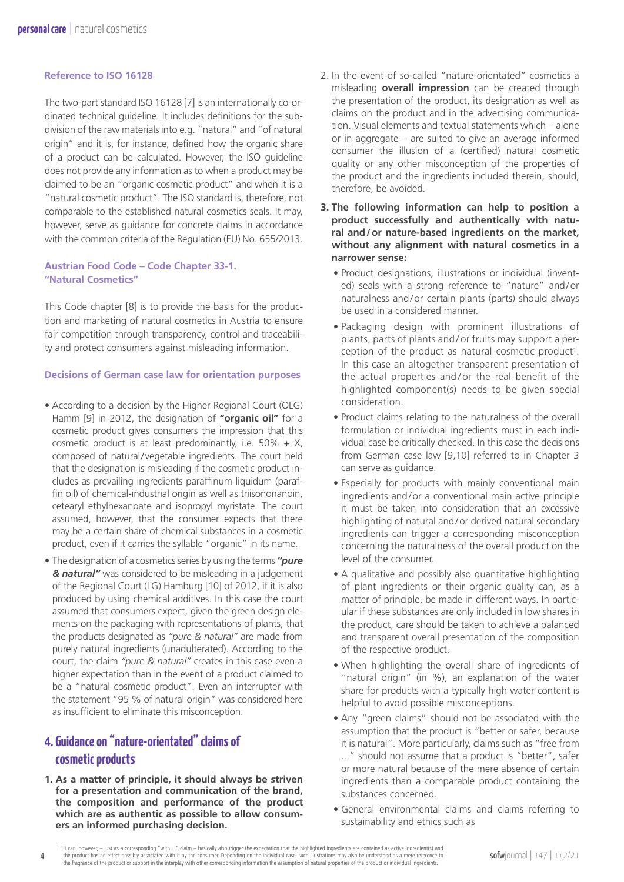#### **Reference to ISO 16128**

The two-part standard ISO 16128 [7] is an internationally co-ordinated technical guideline. It includes definitions for the subdivision of the raw materials into e.g. "natural" and "of natural origin" and it is, for instance, defined how the organic share of a product can be calculated. However, the ISO guideline does not provide any information as to when a product may be claimed to be an "organic cosmetic product" and when it is a "natural cosmetic product". The ISO standard is, therefore, not comparable to the established natural cosmetics seals. It may, however, serve as guidance for concrete claims in accordance with the common criteria of the Regulation (EU) No. 655/2013.

#### **Austrian Food Code – Code Chapter 33-1. "Natural Cosmetics"**

This Code chapter [8] is to provide the basis for the production and marketing of natural cosmetics in Austria to ensure fair competition through transparency, control and traceability and protect consumers against misleading information.

#### **Decisions of German case law for orientation purposes**

- According to a decision by the Higher Regional Court (OLG) Hamm [9] in 2012, the designation of **"organic oil"** for a cosmetic product gives consumers the impression that this cosmetic product is at least predominantly, i.e.  $50\% + X$ , composed of natural/vegetable ingredients. The court held that the designation is misleading if the cosmetic product includes as prevailing ingredients paraffinum liquidum (paraffin oil) of chemical-industrial origin as well as triisononanoin, cetearyl ethylhexanoate and isopropyl myristate. The court assumed, however, that the consumer expects that there may be a certain share of chemical substances in a cosmetic product, even if it carries the syllable "organic" in its name.
- The designation of a cosmetics series by using the terms *"pure & natural"* was considered to be misleading in a judgement of the Regional Court (LG) Hamburg [10] of 2012, if it is also produced by using chemical additives. In this case the court assumed that consumers expect, given the green design elements on the packaging with representations of plants, that the products designated as *"pure & natural"* are made from purely natural ingredients (unadulterated). According to the court, the claim *"pure & natural"* creates in this case even a higher expectation than in the event of a product claimed to be a "natural cosmetic product". Even an interrupter with the statement "95 % of natural origin" was considered here as insufficient to eliminate this misconception.

# **4. Guidance on "nature-orientated" claims of cosmetic products**

**1. As a matter of principle, it should always be striven for a presentation and communication of the brand, the composition and performance of the product which are as authentic as possible to allow consumers an informed purchasing decision.**

- 2. In the event of so-called "nature-orientated" cosmetics a misleading **overall impression** can be created through the presentation of the product, its designation as well as claims on the product and in the advertising communication. Visual elements and textual statements which – alone or in aggregate – are suited to give an average informed consumer the illusion of a (certified) natural cosmetic quality or any other misconception of the properties of the product and the ingredients included therein, should, therefore, be avoided.
- **3. The following information can help to position a product successfully and authentically with natural and/or nature-based ingredients on the market, without any alignment with natural cosmetics in a narrower sense:**
	- Product designations, illustrations or individual (invented) seals with a strong reference to "nature" and/or naturalness and/or certain plants (parts) should always be used in a considered manner.
	- Packaging design with prominent illustrations of plants, parts of plants and / or fruits may support a perception of the product as natural cosmetic product<sup>1</sup>. In this case an altogether transparent presentation of the actual properties and/or the real benefit of the highlighted component(s) needs to be given special consideration.
	- Product claims relating to the naturalness of the overall formulation or individual ingredients must in each individual case be critically checked. In this case the decisions from German case law [9,10] referred to in Chapter 3 can serve as guidance.
	- Especially for products with mainly conventional main ingredients and/or a conventional main active principle it must be taken into consideration that an excessive highlighting of natural and/or derived natural secondary ingredients can trigger a corresponding misconception concerning the naturalness of the overall product on the level of the consumer.
	- A qualitative and possibly also quantitative highlighting of plant ingredients or their organic quality can, as a matter of principle, be made in different ways. In particular if these substances are only included in low shares in the product, care should be taken to achieve a balanced and transparent overall presentation of the composition of the respective product.
	- When highlighting the overall share of ingredients of "natural origin" (in %), an explanation of the water share for products with a typically high water content is helpful to avoid possible misconceptions.
	- Any "green claims" should not be associated with the assumption that the product is "better or safer, because it is natural". More particularly, claims such as "free from ..." should not assume that a product is "better", safer or more natural because of the mere absence of certain ingredients than a comparable product containing the substances concerned.
	- General environmental claims and claims referring to sustainability and ethics such as